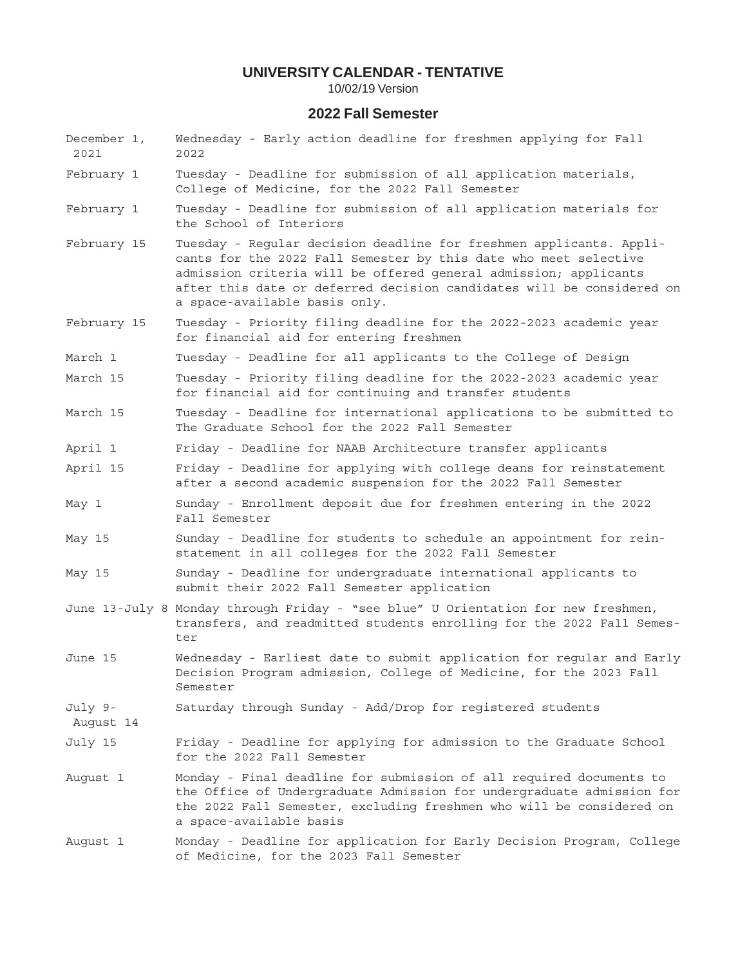10/02/19 Version

# **2022 Fall Semester**

- December 1, Wednesday Early action deadline for freshmen applying for Fall 2021 2022
- February 1 Tuesday Deadline for submission of all application materials, College of Medicine, for the 2022 Fall Semester
- February 1 Tuesday Deadline for submission of all application materials for the School of Interiors
- February 15 Tuesday Regular decision deadline for freshmen applicants. Applicants for the 2022 Fall Semester by this date who meet selective admission criteria will be offered general admission; applicants after this date or deferred decision candidates will be considered on a space-available basis only.
- February 15 Tuesday Priority filing deadline for the 2022-2023 academic year for financial aid for entering freshmen
- March 1 Tuesday Deadline for all applicants to the College of Design
- March 15 Tuesday Priority filing deadline for the 2022-2023 academic year for financial aid for continuing and transfer students
- March 15 Tuesday Deadline for international applications to be submitted to The Graduate School for the 2022 Fall Semester
- April 1 Friday Deadline for NAAB Architecture transfer applicants
- April 15 Friday Deadline for applying with college deans for reinstatement after a second academic suspension for the 2022 Fall Semester
- May 1 Sunday Enrollment deposit due for freshmen entering in the 2022 Fall Semester
- May 15 Sunday Deadline for students to schedule an appointment for reinstatement in all colleges for the 2022 Fall Semester
- May 15 Sunday Deadline for undergraduate international applicants to submit their 2022 Fall Semester application
- June 13-July 8 Monday through Friday "see blue" U Orientation for new freshmen, transfers, and readmitted students enrolling for the 2022 Fall Semester
- June 15 Wednesday Earliest date to submit application for regular and Early Decision Program admission, College of Medicine, for the 2023 Fall Semester
- July 9- Saturday through Sunday Add/Drop for registered students

August 14

- July 15 Friday Deadline for applying for admission to the Graduate School for the 2022 Fall Semester
- August 1 Monday Final deadline for submission of all required documents to the Office of Undergraduate Admission for undergraduate admission for the 2022 Fall Semester, excluding freshmen who will be considered on a space-available basis
- August 1 Monday Deadline for application for Early Decision Program, College of Medicine, for the 2023 Fall Semester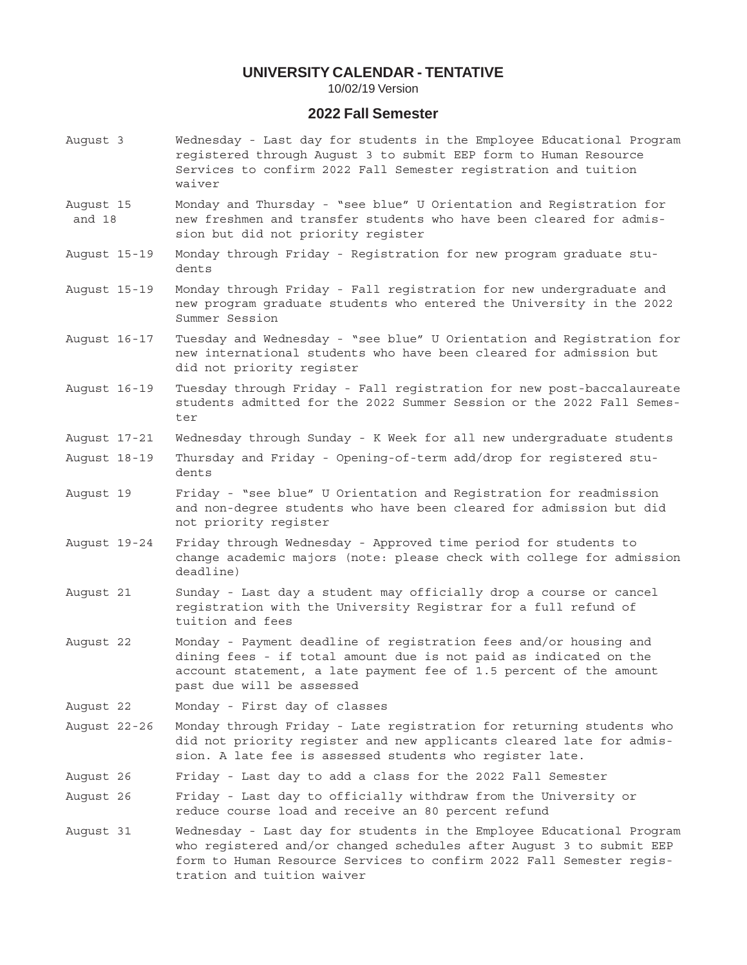10/02/19 Version

# **2022 Fall Semester**

- August 3 Wednesday Last day for students in the Employee Educational Program registered through August 3 to submit EEP form to Human Resource Services to confirm 2022 Fall Semester registration and tuition waiver
- August 15 Monday and Thursday "see blue" U Orientation and Registration for and 18 new freshmen and transfer students who have been cleared for admission but did not priority register
- August 15-19 Monday through Friday Registration for new program graduate students
- August 15-19 Monday through Friday Fall registration for new undergraduate and new program graduate students who entered the University in the 2022 Summer Session
- August 16-17 Tuesday and Wednesday "see blue" U Orientation and Registration for new international students who have been cleared for admission but did not priority register
- August 16-19 Tuesday through Friday Fall registration for new post-baccalaureate students admitted for the 2022 Summer Session or the 2022 Fall Semester
- August 17-21 Wednesday through Sunday K Week for all new undergraduate students
- August 18-19 Thursday and Friday Opening-of-term add/drop for registered students
- August 19 Friday "see blue" U Orientation and Registration for readmission and non-degree students who have been cleared for admission but did not priority register
- August 19-24 Friday through Wednesday Approved time period for students to change academic majors (note: please check with college for admission deadline)
- August 21 Sunday Last day a student may officially drop a course or cancel registration with the University Registrar for a full refund of tuition and fees
- August 22 Monday Payment deadline of registration fees and/or housing and dining fees - if total amount due is not paid as indicated on the account statement, a late payment fee of 1.5 percent of the amount past due will be assessed
- August 22 Monday First day of classes
- August 22-26 Monday through Friday Late registration for returning students who did not priority register and new applicants cleared late for admission. A late fee is assessed students who register late.
- August 26 Friday Last day to add a class for the 2022 Fall Semester
- August 26 Friday Last day to officially withdraw from the University or reduce course load and receive an 80 percent refund
- August 31 Wednesday Last day for students in the Employee Educational Program who registered and/or changed schedules after August 3 to submit EEP form to Human Resource Services to confirm 2022 Fall Semester registration and tuition waiver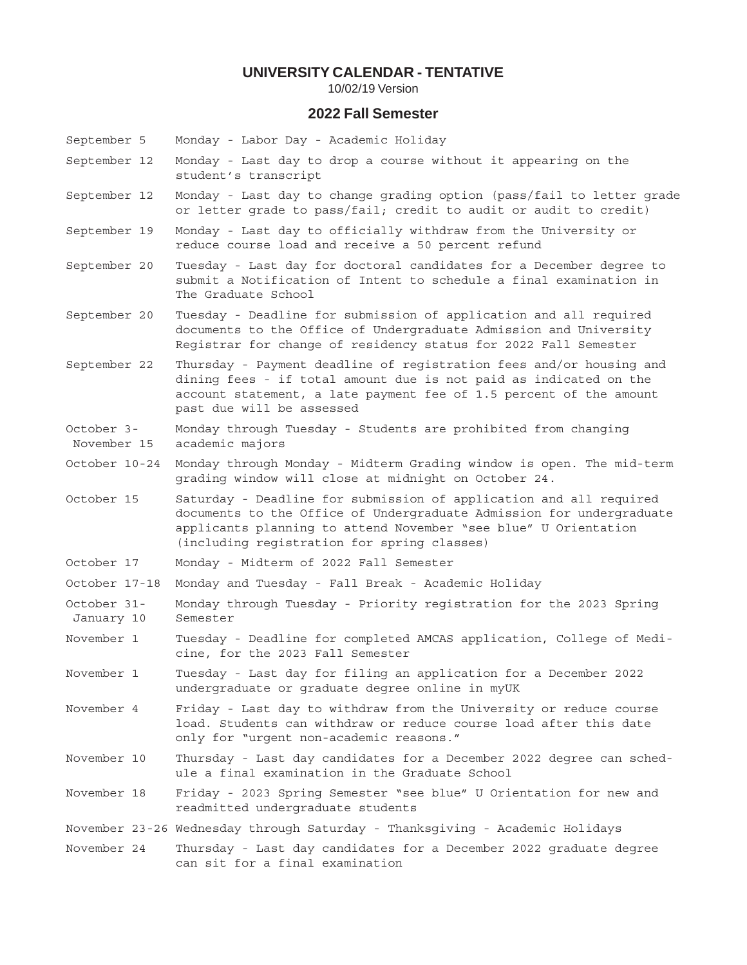10/02/19 Version

### **2022 Fall Semester**

- September 5 Monday Labor Day Academic Holiday
- September 12 Monday Last day to drop a course without it appearing on the student's transcript
- September 12 Monday Last day to change grading option (pass/fail to letter grade or letter grade to pass/fail; credit to audit or audit to credit)
- September 19 Monday Last day to officially withdraw from the University or reduce course load and receive a 50 percent refund
- September 20 Tuesday Last day for doctoral candidates for a December degree to submit a Notification of Intent to schedule a final examination in The Graduate School
- September 20 Tuesday Deadline for submission of application and all required documents to the Office of Undergraduate Admission and University Registrar for change of residency status for 2022 Fall Semester
- September 22 Thursday Payment deadline of registration fees and/or housing and dining fees - if total amount due is not paid as indicated on the account statement, a late payment fee of 1.5 percent of the amount past due will be assessed
- October 3- Monday through Tuesday Students are prohibited from changing November 15 academic majors
- October 10-24 Monday through Monday Midterm Grading window is open. The mid-term grading window will close at midnight on October 24.
- October 15 Saturday Deadline for submission of application and all required documents to the Office of Undergraduate Admission for undergraduate applicants planning to attend November "see blue" U Orientation (including registration for spring classes)
- October 17 Monday Midterm of 2022 Fall Semester
- October 17-18 Monday and Tuesday Fall Break Academic Holiday
- October 31- Monday through Tuesday Priority registration for the 2023 Spring January 10 Semester
- November 1 Tuesday Deadline for completed AMCAS application, College of Medicine, for the 2023 Fall Semester
- November 1 Tuesday Last day for filing an application for a December 2022 undergraduate or graduate degree online in myUK
- November 4 Friday Last day to withdraw from the University or reduce course load. Students can withdraw or reduce course load after this date only for "urgent non-academic reasons."
- November 10 Thursday Last day candidates for a December 2022 degree can schedule a final examination in the Graduate School
- November 18 Friday 2023 Spring Semester "see blue" U Orientation for new and readmitted undergraduate students
- November 23-26 Wednesday through Saturday Thanksgiving Academic Holidays
- November 24 Thursday Last day candidates for a December 2022 graduate degree can sit for a final examination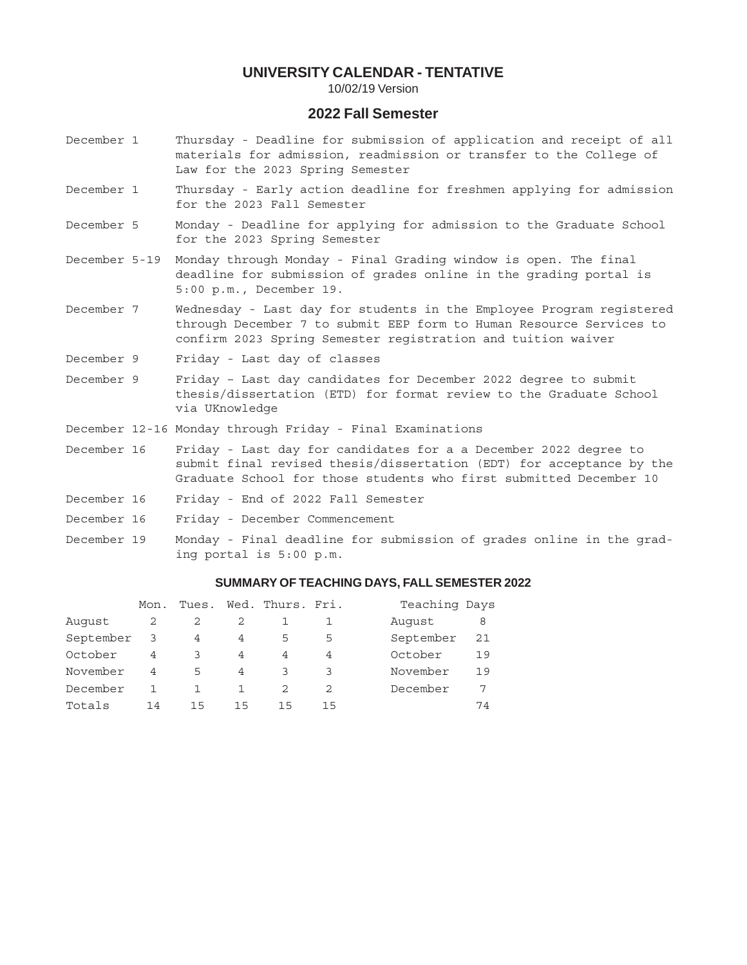10/02/19 Version

# **2022 Fall Semester**

- December 1 Thursday Deadline for submission of application and receipt of all materials for admission, readmission or transfer to the College of Law for the 2023 Spring Semester
- December 1 Thursday Early action deadline for freshmen applying for admission for the 2023 Fall Semester
- December 5 Monday Deadline for applying for admission to the Graduate School for the 2023 Spring Semester
- December 5-19 Monday through Monday Final Grading window is open. The final deadline for submission of grades online in the grading portal is 5:00 p.m., December 19.
- December 7 Wednesday Last day for students in the Employee Program registered through December 7 to submit EEP form to Human Resource Services to confirm 2023 Spring Semester registration and tuition waiver
- December 9 Friday Last day of classes
- December 9 Friday Last day candidates for December 2022 degree to submit thesis/dissertation (ETD) for format review to the Graduate School via UKnowledge
- December 12-16 Monday through Friday Final Examinations
- December 16 Friday Last day for candidates for a a December 2022 degree to submit final revised thesis/dissertation (EDT) for acceptance by the Graduate School for those students who first submitted December 10
- December 16 Friday End of 2022 Fall Semester
- December 16 Friday December Commencement
- December 19 Monday Final deadline for submission of grades online in the grading portal is 5:00 p.m.

### **SUMMARY OF TEACHING DAYS, FALL SEMESTER 2022**

|           | Mon. | Tues. |    | Wed. Thurs. Fri. |    | Teaching Days   |
|-----------|------|-------|----|------------------|----|-----------------|
| August    | 2    |       |    |                  |    | Auqust<br>8     |
| September | 3    | 4     | 4  | 5                | 5  | September<br>21 |
| October   | 4    | っ     | 4  | 4                | 4  | October<br>19   |
| November  | 4    | 5     | 4  |                  |    | November<br>19  |
| December  |      |       |    |                  | 2  | December<br>7   |
| Totals    | 14   | 15    | 15 | 15               | 15 | 74              |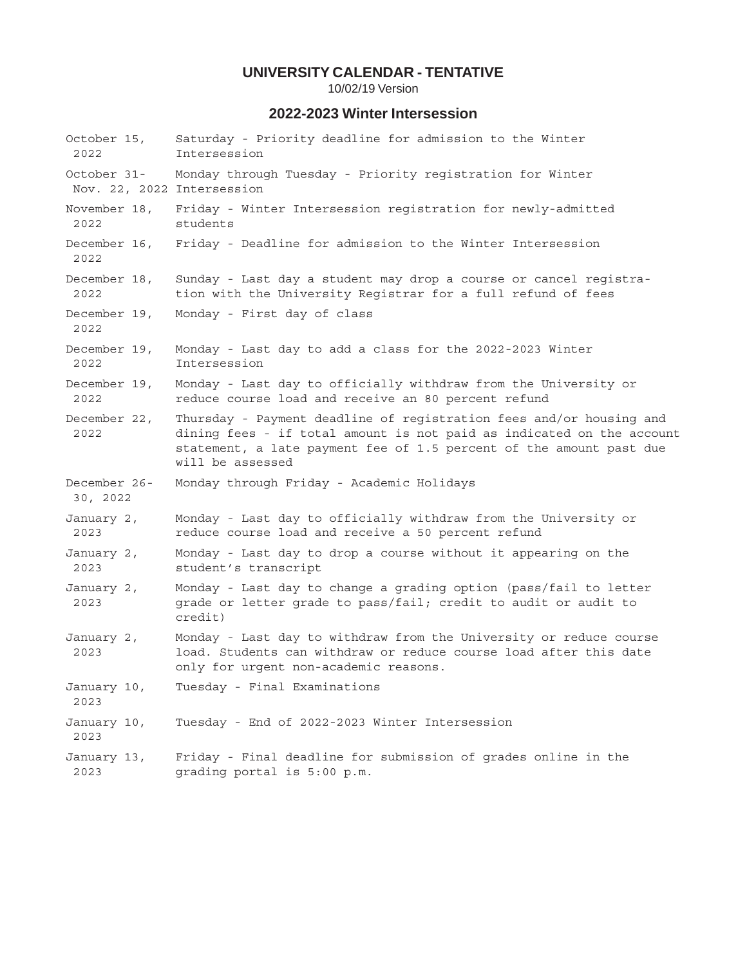10/02/19 Version

### **2022-2023 Winter Intersession**

October 15, Saturday - Priority deadline for admission to the Winter 2022 Intersession October 31- Monday through Tuesday - Priority registration for Winter Nov. 22, 2022 Intersession November 18, Friday - Winter Intersession registration for newly-admitted 2022 students December 16, Friday - Deadline for admission to the Winter Intersession 2022 December 18, Sunday - Last day a student may drop a course or cancel registra- 2022 tion with the University Registrar for a full refund of fees December 19, Monday - First day of class 2022 December 19, Monday - Last day to add a class for the 2022-2023 Winter 2022 Intersession December 19, Monday - Last day to officially withdraw from the University or 2022 reduce course load and receive an 80 percent refund December 22, Thursday - Payment deadline of registration fees and/or housing and 2022 dining fees - if total amount is not paid as indicated on the account statement, a late payment fee of 1.5 percent of the amount past due will be assessed December 26- Monday through Friday - Academic Holidays 30, 2022 January 2, Monday - Last day to officially withdraw from the University or 2023 reduce course load and receive a 50 percent refund January 2, Monday - Last day to drop a course without it appearing on the 2023 student's transcript January 2, Monday - Last day to change a grading option (pass/fail to letter 2023 grade or letter grade to pass/fail; credit to audit or audit to credit) January 2, Monday - Last day to withdraw from the University or reduce course 2023 load. Students can withdraw or reduce course load after this date only for urgent non-academic reasons. January 10, Tuesday - Final Examinations 2023 January 10, Tuesday - End of 2022-2023 Winter Intersession 2023 January 13, Friday - Final deadline for submission of grades online in the 2023 grading portal is 5:00 p.m.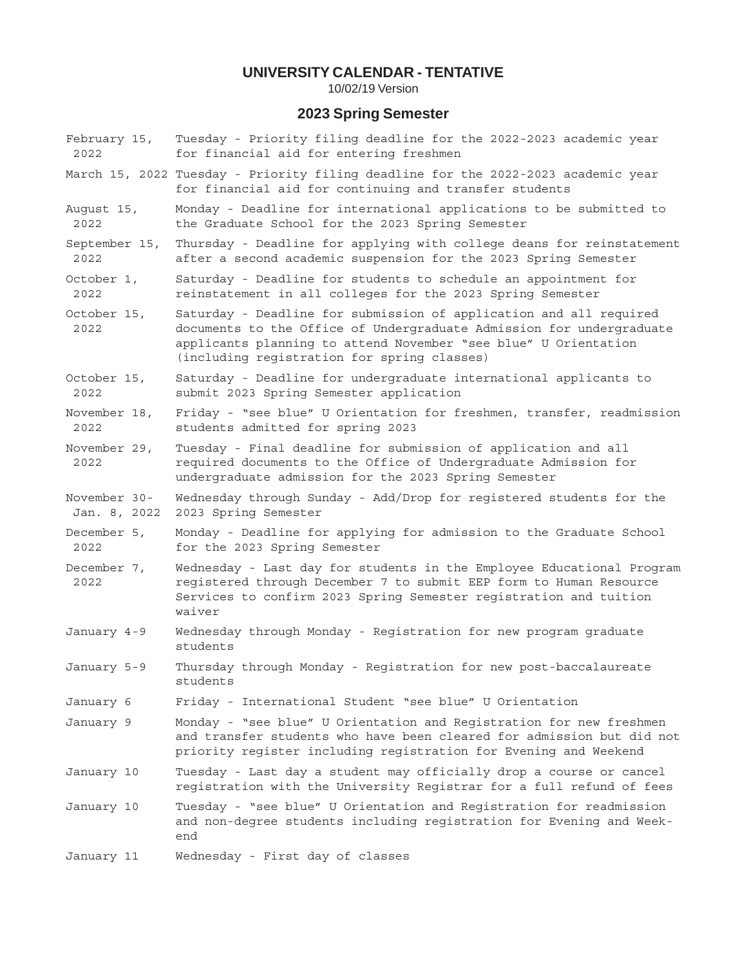10/02/19 Version

### **2023 Spring Semester**

- February 15, Tuesday Priority filing deadline for the 2022-2023 academic year 2022 for financial aid for entering freshmen
- March 15, 2022 Tuesday Priority filing deadline for the 2022-2023 academic year for financial aid for continuing and transfer students
- August 15, Monday Deadline for international applications to be submitted to 2022 the Graduate School for the 2023 Spring Semester
- September 15, Thursday Deadline for applying with college deans for reinstatement 2022 after a second academic suspension for the 2023 Spring Semester
- October 1, Saturday Deadline for students to schedule an appointment for 2022 reinstatement in all colleges for the 2023 Spring Semester
- October 15, Saturday Deadline for submission of application and all required 2022 documents to the Office of Undergraduate Admission for undergraduate applicants planning to attend November "see blue" U Orientation (including registration for spring classes)
- October 15, Saturday Deadline for undergraduate international applicants to 2022 submit 2023 Spring Semester application
- November 18, Friday "see blue" U Orientation for freshmen, transfer, readmission 2022 students admitted for spring 2023
- November 29, Tuesday Final deadline for submission of application and all 2022 required documents to the Office of Undergraduate Admission for undergraduate admission for the 2023 Spring Semester
- November 30- Wednesday through Sunday Add/Drop for registered students for the Jan. 8, 2022 2023 Spring Semester
- December 5, Monday Deadline for applying for admission to the Graduate School 2022 for the 2023 Spring Semester
- December 7, Wednesday Last day for students in the Employee Educational Program 2022 registered through December 7 to submit EEP form to Human Resource Services to confirm 2023 Spring Semester registration and tuition waiver
- January 4-9 Wednesday through Monday Registration for new program graduate students
- January 5-9 Thursday through Monday Registration for new post-baccalaureate students
- January 6 Friday International Student "see blue" U Orientation
- January 9 Monday "see blue" U Orientation and Registration for new freshmen and transfer students who have been cleared for admission but did not priority register including registration for Evening and Weekend
- January 10 Tuesday Last day a student may officially drop a course or cancel registration with the University Registrar for a full refund of fees
- January 10 Tuesday "see blue" U Orientation and Registration for readmission and non-degree students including registration for Evening and Weekend
- January 11 Wednesday First day of classes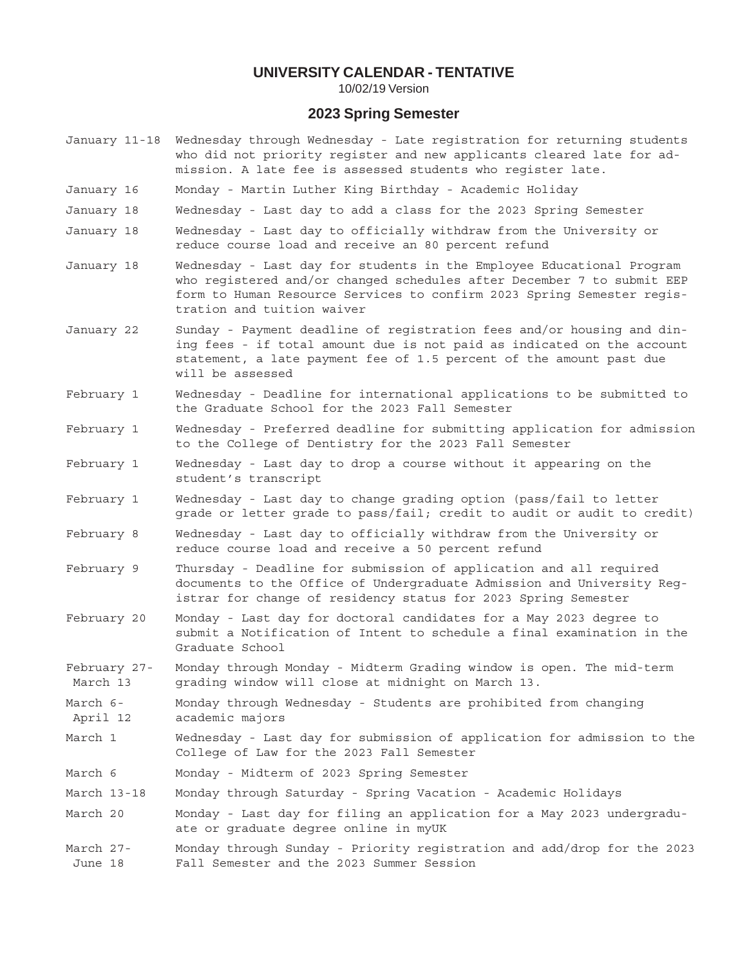10/02/19 Version

### **2023 Spring Semester**

- January 11-18 Wednesday through Wednesday Late registration for returning students who did not priority register and new applicants cleared late for admission. A late fee is assessed students who register late.
- January 16 Monday Martin Luther King Birthday Academic Holiday
- January 18 Wednesday Last day to add a class for the 2023 Spring Semester
- January 18 Wednesday Last day to officially withdraw from the University or reduce course load and receive an 80 percent refund
- January 18 Wednesday Last day for students in the Employee Educational Program who registered and/or changed schedules after December 7 to submit EEP form to Human Resource Services to confirm 2023 Spring Semester registration and tuition waiver
- January 22 Sunday Payment deadline of registration fees and/or housing and dining fees - if total amount due is not paid as indicated on the account statement, a late payment fee of 1.5 percent of the amount past due will be assessed
- February 1 Wednesday Deadline for international applications to be submitted to the Graduate School for the 2023 Fall Semester
- February 1 Wednesday Preferred deadline for submitting application for admission to the College of Dentistry for the 2023 Fall Semester
- February 1 Wednesday Last day to drop a course without it appearing on the student's transcript
- February 1 Wednesday Last day to change grading option (pass/fail to letter grade or letter grade to pass/fail; credit to audit or audit to credit)
- February 8 Wednesday Last day to officially withdraw from the University or reduce course load and receive a 50 percent refund
- February 9 Thursday Deadline for submission of application and all required documents to the Office of Undergraduate Admission and University Registrar for change of residency status for 2023 Spring Semester
- February 20 Monday Last day for doctoral candidates for a May 2023 degree to submit a Notification of Intent to schedule a final examination in the Graduate School
- February 27- Monday through Monday Midterm Grading window is open. The mid-term March 13 grading window will close at midnight on March 13.
- March 6- Monday through Wednesday Students are prohibited from changing April 12 academic majors
- March 1 Wednesday Last day for submission of application for admission to the College of Law for the 2023 Fall Semester
- March 6 Monday Midterm of 2023 Spring Semester
- March 13-18 Monday through Saturday Spring Vacation Academic Holidays
- March 20 Monday Last day for filing an application for a May 2023 undergraduate or graduate degree online in myUK
- March 27- Monday through Sunday Priority registration and add/drop for the 2023 June 18 Fall Semester and the 2023 Summer Session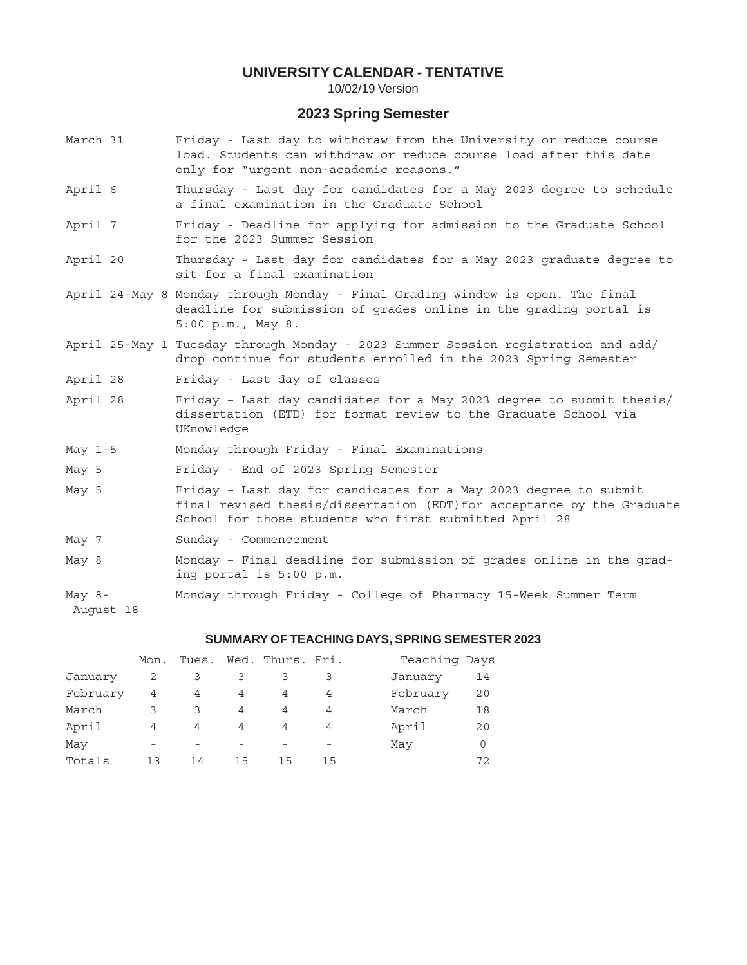10/02/19 Version

# **2023 Spring Semester**

March 31 Friday - Last day to withdraw from the University or reduce course load. Students can withdraw or reduce course load after this date only for "urgent non-academic reasons." April 6 Thursday - Last day for candidates for a May 2023 degree to schedule a final examination in the Graduate School April 7 Friday - Deadline for applying for admission to the Graduate School for the 2023 Summer Session April 20 Thursday - Last day for candidates for a May 2023 graduate degree to sit for a final examination April 24-May 8 Monday through Monday - Final Grading window is open. The final deadline for submission of grades online in the grading portal is 5:00 p.m., May 8. April 25-May 1 Tuesday through Monday - 2023 Summer Session registration and add/ drop continue for students enrolled in the 2023 Spring Semester April 28 Friday - Last day of classes April 28 Friday – Last day candidates for a May 2023 degree to submit thesis/ dissertation (ETD) for format review to the Graduate School via UKnowledge May 1-5 Monday through Friday - Final Examinations May 5 Friday - End of 2023 Spring Semester May 5 Friday – Last day for candidates for a May 2023 degree to submit final revised thesis/dissertation (EDT)for acceptance by the Graduate School for those students who first submitted April 28 May 7 Sunday - Commencement May 8 Monday – Final deadline for submission of grades online in the grading portal is 5:00 p.m. May 8- Monday through Friday - College of Pharmacy 15-Week Summer Term August 18

#### **SUMMARY OF TEACHING DAYS, SPRING SEMESTER 2023**

|          | Mon. | Tues. |    | Wed. Thurs. Fri. |    | Teaching Days  |
|----------|------|-------|----|------------------|----|----------------|
| January  | 2    | 3     |    |                  |    | January<br>14  |
| February | 4    | 4     | 4  | 4                | 4  | February<br>20 |
| March    | 3    | 3     | 4  | 4                | 4  | March<br>18    |
| April    | 4    | 4     | 4  | 4                | 4  | April<br>20    |
| May      |      |       |    |                  |    | May<br>0       |
| Totals   | 13   | 14    | 15 | 15               | 15 | 72             |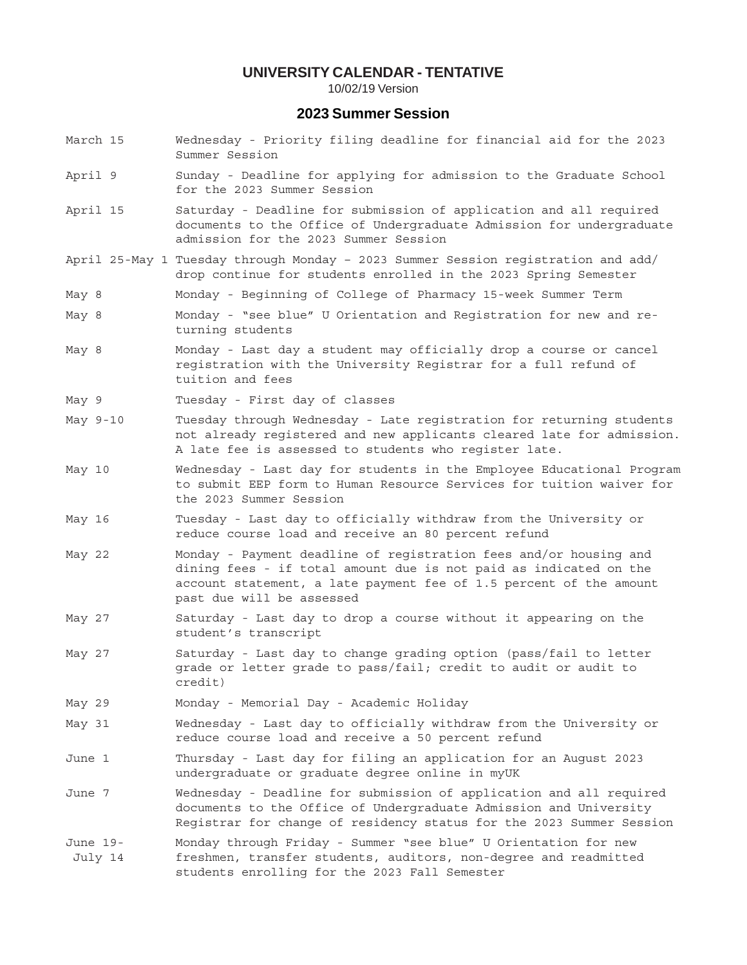10/02/19 Version

### **2023 Summer Session**

- March 15 Wednesday Priority filing deadline for financial aid for the 2023 Summer Session
- April 9 Sunday Deadline for applying for admission to the Graduate School for the 2023 Summer Session
- April 15 Saturday Deadline for submission of application and all required documents to the Office of Undergraduate Admission for undergraduate admission for the 2023 Summer Session
- April 25-May 1 Tuesday through Monday 2023 Summer Session registration and add/ drop continue for students enrolled in the 2023 Spring Semester
- May 8 Monday Beginning of College of Pharmacy 15-week Summer Term
- May 8 Monday "see blue" U Orientation and Registration for new and returning students
- May 8 Monday Last day a student may officially drop a course or cancel registration with the University Registrar for a full refund of tuition and fees
- May 9 Tuesday First day of classes
- May 9-10 Tuesday through Wednesday Late registration for returning students not already registered and new applicants cleared late for admission. A late fee is assessed to students who register late.
- May 10 Wednesday Last day for students in the Employee Educational Program to submit EEP form to Human Resource Services for tuition waiver for the 2023 Summer Session
- May 16 Tuesday Last day to officially withdraw from the University or reduce course load and receive an 80 percent refund
- May 22 Monday Payment deadline of registration fees and/or housing and dining fees - if total amount due is not paid as indicated on the account statement, a late payment fee of 1.5 percent of the amount past due will be assessed
- May 27 Saturday Last day to drop a course without it appearing on the student's transcript
- May 27 Saturday Last day to change grading option (pass/fail to letter grade or letter grade to pass/fail; credit to audit or audit to credit)
- May 29 Monday Memorial Day Academic Holiday
- May 31 Wednesday Last day to officially withdraw from the University or reduce course load and receive a 50 percent refund
- June 1 Thursday Last day for filing an application for an August 2023 undergraduate or graduate degree online in myUK
- June 7 Wednesday Deadline for submission of application and all required documents to the Office of Undergraduate Admission and University Registrar for change of residency status for the 2023 Summer Session
- June 19- Monday through Friday Summer "see blue" U Orientation for new July 14 freshmen, transfer students, auditors, non-degree and readmitted students enrolling for the 2023 Fall Semester